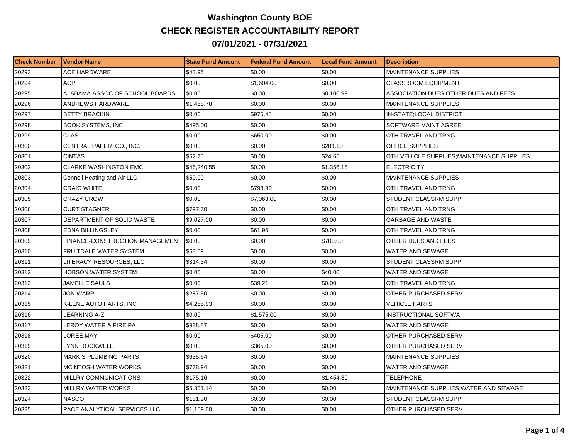## **Washington County BOE CHECK REGISTER ACCOUNTABILITY REPORT 07/01/2021 - 07/31/2021**

| <b>Check Number</b> | <b>Vendor Name</b>             | <b>State Fund Amount</b> | l Federal Fund Amount | <b>ILocal Fund Amount</b> | <b>Description</b>                         |
|---------------------|--------------------------------|--------------------------|-----------------------|---------------------------|--------------------------------------------|
| 20293               | ACE HARDWARE                   | \$43.96                  | \$0.00                | \$0.00                    | <b>MAINTENANCE SUPPLIES</b>                |
| 20294               | <b>ACP</b>                     | \$0.00                   | \$1,604.00            | \$0.00                    | <b>CLASSROOM EQUIPMENT</b>                 |
| 20295               | ALABAMA ASSOC OF SCHOOL BOARDS | \$0.00                   | \$0.00                | \$8,100.99                | ASSOCIATION DUES; OTHER DUES AND FEES      |
| 20296               | <b>ANDREWS HARDWARE</b>        | \$1,468.78               | \$0.00                | \$0.00                    | <b>MAINTENANCE SUPPLIES</b>                |
| 20297               | <b>BETTY BRACKIN</b>           | \$0.00                   | \$975.45              | \$0.00                    | IN-STATE; LOCAL DISTRICT                   |
| 20298               | <b>BOOK SYSTEMS, INC</b>       | \$495.00                 | \$0.00                | \$0.00                    | SOFTWARE MAINT AGREE                       |
| 20299               | <b>CLAS</b>                    | \$0.00                   | \$650.00              | \$0.00                    | OTH TRAVEL AND TRNG                        |
| 20300               | CENTRAL PAPER CO., INC.        | \$0.00                   | \$0.00                | \$281.10                  | <b>OFFICE SUPPLIES</b>                     |
| 20301               | <b>CINTAS</b>                  | \$52.75                  | \$0.00                | \$24.65                   | OTH VEHICLE SUPPLIES; MAINTENANCE SUPPLIES |
| 20302               | <b>CLARKE WASHINGTON EMC</b>   | \$46,240.55              | \$0.00                | \$1,356.15                | <b>ELECTRICITY</b>                         |
| 20303               | Connell Heating and Air LLC    | \$50.00                  | \$0.00                | \$0.00                    | MAINTENANCE SUPPLIES                       |
| 20304               | <b>CRAIG WHITE</b>             | \$0.00                   | \$798.90              | \$0.00                    | OTH TRAVEL AND TRNG                        |
| 20305               | <b>CRAZY CROW</b>              | \$0.00                   | \$7,063.00            | \$0.00                    | STUDENT CLASSRM SUPP                       |
| 20306               | <b>CURT STAGNER</b>            | \$797.70                 | \$0.00                | \$0.00                    | OTH TRAVEL AND TRNG                        |
| 20307               | DEPARTMENT OF SOLID WASTE      | \$9,027.00               | \$0.00                | \$0.00                    | <b>GARBAGE AND WASTE</b>                   |
| 20308               | <b>EDNA BILLINGSLEY</b>        | \$0.00                   | \$61.95               | \$0.00                    | OTH TRAVEL AND TRNG                        |
| 20309               | FINANCE-CONSTRUCTION MANAGEMEN | \$0.00                   | \$0.00                | \$700.00                  | OTHER DUES AND FEES                        |
| 20310               | FRUITDALE WATER SYSTEM         | \$63.59                  | \$0.00                | \$0.00                    | <b>WATER AND SEWAGE</b>                    |
| 20311               | LITERACY RESOURCES, LLC        | \$314.34                 | \$0.00                | \$0.00                    | STUDENT CLASSRM SUPP                       |
| 20312               | <b>HOBSON WATER SYSTEM</b>     | \$0.00                   | \$0.00                | \$40.00                   | <b>WATER AND SEWAGE</b>                    |
| 20313               | <b>JAMELLE SAULS</b>           | \$0.00                   | \$39.21               | \$0.00                    | OTH TRAVEL AND TRNG                        |
| 20314               | JON WARR                       | \$287.50                 | \$0.00                | \$0.00                    | OTHER PURCHASED SERV                       |
| 20315               | K-LENE AUTO PARTS, INC         | \$4,255.93               | \$0.00                | \$0.00                    | <b>VEHICLE PARTS</b>                       |
| 20316               | LEARNING A-Z                   | \$0.00                   | \$1,575.00            | \$0.00                    | <b>INSTRUCTIONAL SOFTWA</b>                |
| 20317               | LEROY WATER & FIRE PA          | \$938.87                 | \$0.00                | \$0.00                    | WATER AND SEWAGE                           |
| 20318               | LOREE MAY                      | \$0.00                   | \$405.00              | \$0.00                    | OTHER PURCHASED SERV                       |
| 20319               | LYNN ROCKWELL                  | \$0.00                   | \$365.00              | \$0.00                    | OTHER PURCHASED SERV                       |
| 20320               | <b>MARK S PLUMBING PARTS</b>   | \$635.64                 | \$0.00                | \$0.00                    | <b>MAINTENANCE SUPPLIES</b>                |
| 20321               | <b>MCINTOSH WATER WORKS</b>    | \$778.94                 | \$0.00                | \$0.00                    | WATER AND SEWAGE                           |
| 20322               | MILLRY COMMUNICATIONS          | \$175.16                 | \$0.00                | \$1,454.39                | <b>TELEPHONE</b>                           |
| 20323               | MILLRY WATER WORKS             | \$5,301.14               | \$0.00                | \$0.00                    | MAINTENANCE SUPPLIES; WATER AND SEWAGE     |
| 20324               | <b>NASCO</b>                   | \$181.90                 | \$0.00                | \$0.00                    | STUDENT CLASSRM SUPP                       |
| 20325               | PACE ANALYTICAL SERVICES LLC   | \$1,159.00               | \$0.00                | \$0.00                    | OTHER PURCHASED SERV                       |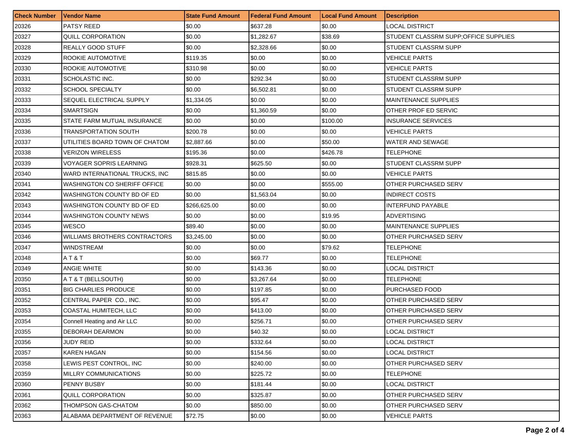| <b>Check Number</b> | <b>Vendor Name</b>                  | <b>State Fund Amount</b> | <b>Federal Fund Amount</b> | <b>Local Fund Amount</b> | <b>Description</b>                     |
|---------------------|-------------------------------------|--------------------------|----------------------------|--------------------------|----------------------------------------|
| 20326               | PATSY REED                          | \$0.00                   | \$637.28                   | \$0.00                   | LOCAL DISTRICT                         |
| 20327               | <b>QUILL CORPORATION</b>            | \$0.00                   | \$1,282.67                 | \$38.69                  | STUDENT CLASSRM SUPP; OF FICE SUPPLIES |
| 20328               | REALLY GOOD STUFF                   | \$0.00                   | \$2,328.66                 | \$0.00                   | STUDENT CLASSRM SUPP                   |
| 20329               | ROOKIE AUTOMOTIVE                   | \$119.35                 | \$0.00                     | \$0.00                   | VEHICLE PARTS                          |
| 20330               | ROOKIE AUTOMOTIVE                   | \$310.98                 | \$0.00                     | \$0.00                   | <b>VEHICLE PARTS</b>                   |
| 20331               | SCHOLASTIC INC.                     | \$0.00                   | \$292.34                   | \$0.00                   | STUDENT CLASSRM SUPP                   |
| 20332               | <b>SCHOOL SPECIALTY</b>             | \$0.00                   | \$6,502.81                 | \$0.00                   | STUDENT CLASSRM SUPP                   |
| 20333               | SEQUEL ELECTRICAL SUPPLY            | \$1,334.05               | \$0.00                     | \$0.00                   | <b>MAINTENANCE SUPPLIES</b>            |
| 20334               | <b>SMARTSIGN</b>                    | \$0.00                   | \$1,360.59                 | \$0.00                   | OTHER PROF ED SERVIC                   |
| 20335               | STATE FARM MUTUAL INSURANCE         | \$0.00                   | \$0.00                     | \$100.00                 | INSURANCE SERVICES                     |
| 20336               | <b>TRANSPORTATION SOUTH</b>         | \$200.78                 | \$0.00                     | \$0.00                   | VEHICLE PARTS                          |
| 20337               | UTILITIES BOARD TOWN OF CHATOM      | \$2,887.66               | \$0.00                     | \$50.00                  | WATER AND SEWAGE                       |
| 20338               | <b>VERIZON WIRELESS</b>             | \$195.36                 | \$0.00                     | \$426.78                 | TELEPHONE                              |
| 20339               | VOYAGER SOPRIS LEARNING             | \$928.31                 | \$625.50                   | \$0.00                   | STUDENT CLASSRM SUPP                   |
| 20340               | WARD INTERNATIONAL TRUCKS, INC      | \$815.85                 | \$0.00                     | \$0.00                   | VEHICLE PARTS                          |
| 20341               | <b>WASHINGTON CO SHERIFF OFFICE</b> | \$0.00                   | \$0.00                     | \$555.00                 | OTHER PURCHASED SERV                   |
| 20342               | WASHINGTON COUNTY BD OF ED          | \$0.00                   | \$1,563.04                 | \$0.00                   | INDIRECT COSTS                         |
| 20343               | WASHINGTON COUNTY BD OF ED          | \$266,625.00             | \$0.00                     | \$0.00                   | <b>INTERFUND PAYABLE</b>               |
| 20344               | WASHINGTON COUNTY NEWS              | \$0.00                   | \$0.00                     | \$19.95                  | ADVERTISING                            |
| 20345               | WESCO                               | \$89.40                  | \$0.00                     | \$0.00                   | <b>MAINTENANCE SUPPLIES</b>            |
| 20346               | WILLIAMS BROTHERS CONTRACTORS       | \$3,245.00               | \$0.00                     | \$0.00                   | OTHER PURCHASED SERV                   |
| 20347               | <b>WINDSTREAM</b>                   | \$0.00                   | \$0.00                     | \$79.62                  | TELEPHONE                              |
| 20348               | AT&T                                | \$0.00                   | \$69.77                    | \$0.00                   | TELEPHONE                              |
| 20349               | ANGIE WHITE                         | \$0.00                   | \$143.36                   | \$0.00                   | LOCAL DISTRICT                         |
| 20350               | A T & T (BELLSOUTH)                 | \$0.00                   | \$3,267.64                 | \$0.00                   | TELEPHONE                              |
| 20351               | <b>BIG CHARLIES PRODUCE</b>         | \$0.00                   | \$197.85                   | \$0.00                   | PURCHASED FOOD                         |
| 20352               | CENTRAL PAPER CO., INC.             | \$0.00                   | \$95.47                    | \$0.00                   | OTHER PURCHASED SERV                   |
| 20353               | COASTAL HUMITECH, LLC               | \$0.00                   | \$413.00                   | \$0.00                   | OTHER PURCHASED SERV                   |
| 20354               | Connell Heating and Air LLC         | \$0.00                   | \$256.71                   | \$0.00                   | OTHER PURCHASED SERV                   |
| 20355               | DEBORAH DEARMON                     | \$0.00                   | \$40.32                    | \$0.00                   | <b>LOCAL DISTRICT</b>                  |
| 20356               | <b>JUDY REID</b>                    | \$0.00                   | \$332.64                   | \$0.00                   | LOCAL DISTRICT                         |
| 20357               | <b>KAREN HAGAN</b>                  | \$0.00                   | \$154.56                   | \$0.00                   | <b>LOCAL DISTRICT</b>                  |
| 20358               | LEWIS PEST CONTROL, INC             | \$0.00                   | \$240.00                   | \$0.00                   | OTHER PURCHASED SERV                   |
| 20359               | MILLRY COMMUNICATIONS               | \$0.00                   | \$225.72                   | \$0.00                   | TELEPHONE                              |
| 20360               | PENNY BUSBY                         | \$0.00                   | \$181.44                   | \$0.00                   | LOCAL DISTRICT                         |
| 20361               | QUILL CORPORATION                   | \$0.00                   | \$325.87                   | \$0.00                   | OTHER PURCHASED SERV                   |
| 20362               | THOMPSON GAS-CHATOM                 | \$0.00                   | \$850.00                   | \$0.00                   | OTHER PURCHASED SERV                   |
| 20363               | ALABAMA DEPARTMENT OF REVENUE       | \$72.75                  | \$0.00                     | \$0.00                   | <b>VEHICLE PARTS</b>                   |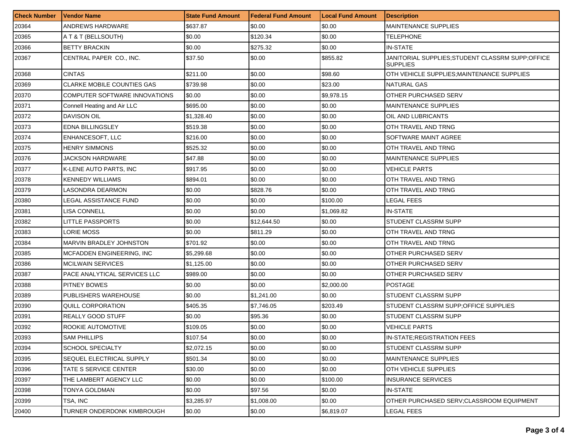| <b>Check Number</b> | l Vendor Name                     | <b>State Fund Amount</b> | <b>Federal Fund Amount</b> | <b>Local Fund Amount</b> | <b>Description</b>                                                   |
|---------------------|-----------------------------------|--------------------------|----------------------------|--------------------------|----------------------------------------------------------------------|
| 20364               | ANDREWS HARDWARE                  | \$637.87                 | \$0.00                     | \$0.00                   | <b>MAINTENANCE SUPPLIES</b>                                          |
| 20365               | A T & T (BELLSOUTH)               | \$0.00                   | \$120.34                   | \$0.00                   | TELEPHONE                                                            |
| 20366               | <b>BETTY BRACKIN</b>              | \$0.00                   | \$275.32                   | \$0.00                   | IN-STATE                                                             |
| 20367               | CENTRAL PAPER CO., INC.           | \$37.50                  | \$0.00                     | \$855.82                 | JANITORIAL SUPPLIES; STUDENT CLASSRM SUPP; OFFICE<br><b>SUPPLIES</b> |
| 20368               | <b>CINTAS</b>                     | \$211.00                 | \$0.00                     | \$98.60                  | OTH VEHICLE SUPPLIES:MAINTENANCE SUPPLIES                            |
| 20369               | <b>CLARKE MOBILE COUNTIES GAS</b> | \$739.98                 | \$0.00                     | \$23.00                  | NATURAL GAS                                                          |
| 20370               | COMPUTER SOFTWARE INNOVATIONS     | \$0.00                   | \$0.00                     | \$9,978.15               | OTHER PURCHASED SERV                                                 |
| 20371               | Connell Heating and Air LLC       | \$695.00                 | \$0.00                     | \$0.00                   | MAINTENANCE SUPPLIES                                                 |
| 20372               | DAVISON OIL                       | \$1,328.40               | \$0.00                     | \$0.00                   | OIL AND LUBRICANTS                                                   |
| 20373               | <b>EDNA BILLINGSLEY</b>           | \$519.38                 | \$0.00                     | \$0.00                   | OTH TRAVEL AND TRNG                                                  |
| 20374               | ENHANCESOFT, LLC                  | \$216.00                 | \$0.00                     | \$0.00                   | SOFTWARE MAINT AGREE                                                 |
| 20375               | HENRY SIMMONS                     | \$525.32                 | \$0.00                     | \$0.00                   | OTH TRAVEL AND TRNG                                                  |
| 20376               | <b>JACKSON HARDWARE</b>           | \$47.88                  | \$0.00                     | \$0.00                   | MAINTENANCE SUPPLIES                                                 |
| 20377               | K-LENE AUTO PARTS, INC            | \$917.95                 | \$0.00                     | \$0.00                   | VEHICLE PARTS                                                        |
| 20378               | <b>KENNEDY WILLIAMS</b>           | \$894.01                 | \$0.00                     | \$0.00                   | OTH TRAVEL AND TRNG                                                  |
| 20379               | LASONDRA DEARMON                  | \$0.00                   | \$828.76                   | \$0.00                   | OTH TRAVEL AND TRNG                                                  |
| 20380               | LEGAL ASSISTANCE FUND             | \$0.00                   | \$0.00                     | \$100.00                 | LEGAL FEES                                                           |
| 20381               | LISA CONNELL                      | \$0.00                   | \$0.00                     | \$1,069.82               | IN-STATE                                                             |
| 20382               | LITTLE PASSPORTS                  | \$0.00                   | \$12.644.50                | \$0.00                   | STUDENT CLASSRM SUPP                                                 |
| 20383               | LORIE MOSS                        | \$0.00                   | \$811.29                   | \$0.00                   | OTH TRAVEL AND TRNG                                                  |
| 20384               | MARVIN BRADLEY JOHNSTON           | \$701.92                 | \$0.00                     | \$0.00                   | OTH TRAVEL AND TRNG                                                  |
| 20385               | MCFADDEN ENGINEERING, INC         | \$5,299.68               | \$0.00                     | \$0.00                   | OTHER PURCHASED SERV                                                 |
| 20386               | <b>MCILWAIN SERVICES</b>          | \$1,125.00               | \$0.00                     | \$0.00                   | OTHER PURCHASED SERV                                                 |
| 20387               | PACE ANALYTICAL SERVICES LLC      | \$989.00                 | \$0.00                     | \$0.00                   | OTHER PURCHASED SERV                                                 |
| 20388               | <b>PITNEY BOWES</b>               | \$0.00                   | \$0.00                     | \$2,000.00               | <b>POSTAGE</b>                                                       |
| 20389               | PUBLISHERS WAREHOUSE              | \$0.00                   | \$1,241.00                 | \$0.00                   | STUDENT CLASSRM SUPP                                                 |
| 20390               | QUILL CORPORATION                 | \$405.35                 | \$7,746.05                 | \$203.49                 | STUDENT CLASSRM SUPP; OF FICE SUPPLIES                               |
| 20391               | REALLY GOOD STUFF                 | \$0.00                   | \$95.36                    | \$0.00                   | STUDENT CLASSRM SUPP                                                 |
| 20392               | ROOKIE AUTOMOTIVE                 | \$109.05                 | \$0.00                     | \$0.00                   | <b>VEHICLE PARTS</b>                                                 |
| 20393               | <b>SAM PHILLIPS</b>               | \$107.54                 | \$0.00                     | \$0.00                   | IN-STATE; REGISTRATION FEES                                          |
| 20394               | <b>SCHOOL SPECIALTY</b>           | \$2,072.15               | \$0.00                     | \$0.00                   | STUDENT CLASSRM SUPP                                                 |
| 20395               | SEQUEL ELECTRICAL SUPPLY          | \$501.34                 | \$0.00                     | \$0.00                   | <b>MAINTENANCE SUPPLIES</b>                                          |
| 20396               | TATE S SERVICE CENTER             | \$30.00                  | \$0.00                     | \$0.00                   | OTH VEHICLE SUPPLIES                                                 |
| 20397               | THE LAMBERT AGENCY LLC            | \$0.00                   | \$0.00                     | \$100.00                 | INSURANCE SERVICES                                                   |
| 20398               | TONYA GOLDMAN                     | \$0.00                   | \$97.56                    | \$0.00                   | <b>IN-STATE</b>                                                      |
| 20399               | TSA, INC                          | \$3,285.97               | \$1,008.00                 | \$0.00                   | OTHER PURCHASED SERV:CLASSROOM EQUIPMENT                             |
| 20400               | <b>TURNER ONDERDONK KIMBROUGH</b> | \$0.00                   | \$0.00                     | \$6,819.07               | LEGAL FEES                                                           |